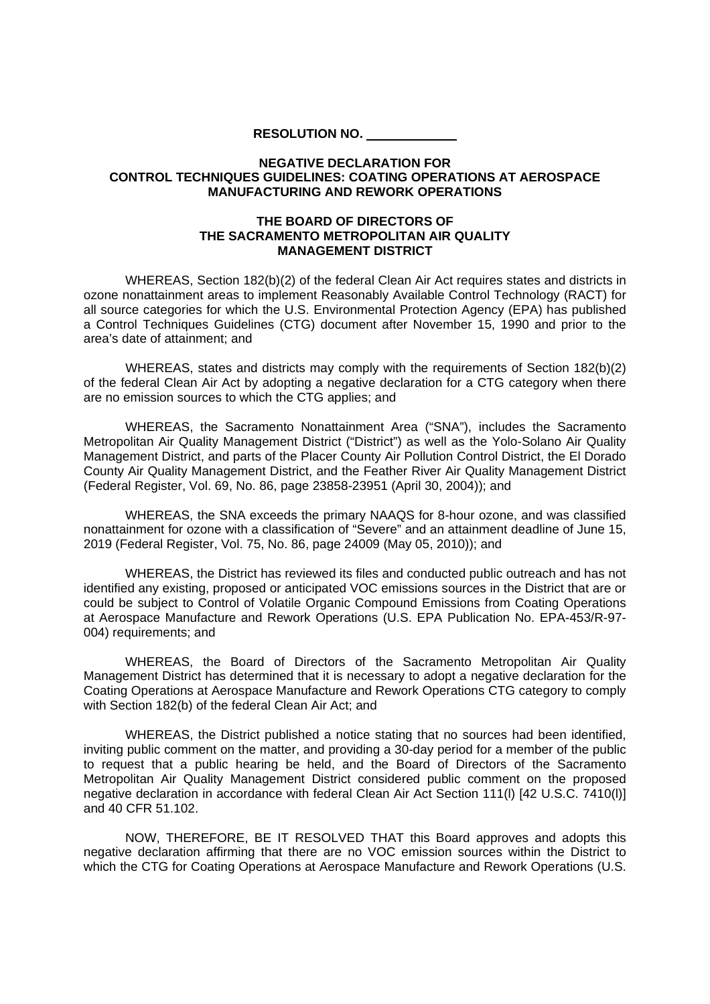**RESOLUTION NO.**

## **NEGATIVE DECLARATION FOR CONTROL TECHNIQUES GUIDELINES: COATING OPERATIONS AT AEROSPACE MANUFACTURING AND REWORK OPERATIONS**

## **THE BOARD OF DIRECTORS OF THE SACRAMENTO METROPOLITAN AIR QUALITY MANAGEMENT DISTRICT**

WHEREAS, Section 182(b)(2) of the federal Clean Air Act requires states and districts in ozone nonattainment areas to implement Reasonably Available Control Technology (RACT) for all source categories for which the U.S. Environmental Protection Agency (EPA) has published a Control Techniques Guidelines (CTG) document after November 15, 1990 and prior to the area's date of attainment; and

WHEREAS, states and districts may comply with the requirements of Section 182(b)(2) of the federal Clean Air Act by adopting a negative declaration for a CTG category when there are no emission sources to which the CTG applies; and

WHEREAS, the Sacramento Nonattainment Area ("SNA"), includes the Sacramento Metropolitan Air Quality Management District ("District") as well as the Yolo-Solano Air Quality Management District, and parts of the Placer County Air Pollution Control District, the El Dorado County Air Quality Management District, and the Feather River Air Quality Management District (Federal Register, Vol. 69, No. 86, page 23858-23951 (April 30, 2004)); and

WHEREAS, the SNA exceeds the primary NAAQS for 8-hour ozone, and was classified nonattainment for ozone with a classification of "Severe" and an attainment deadline of June 15, 2019 (Federal Register, Vol. 75, No. 86, page 24009 (May 05, 2010)); and

WHEREAS, the District has reviewed its files and conducted public outreach and has not identified any existing, proposed or anticipated VOC emissions sources in the District that are or could be subject to Control of Volatile Organic Compound Emissions from Coating Operations at Aerospace Manufacture and Rework Operations (U.S. EPA Publication No. EPA-453/R-97- 004) requirements; and

WHEREAS, the Board of Directors of the Sacramento Metropolitan Air Quality Management District has determined that it is necessary to adopt a negative declaration for the Coating Operations at Aerospace Manufacture and Rework Operations CTG category to comply with Section 182(b) of the federal Clean Air Act; and

WHEREAS, the District published a notice stating that no sources had been identified, inviting public comment on the matter, and providing a 30-day period for a member of the public to request that a public hearing be held, and the Board of Directors of the Sacramento Metropolitan Air Quality Management District considered public comment on the proposed negative declaration in accordance with federal Clean Air Act Section 111(l) [42 U.S.C. 7410(l)] and 40 CFR 51.102.

NOW, THEREFORE, BE IT RESOLVED THAT this Board approves and adopts this negative declaration affirming that there are no VOC emission sources within the District to which the CTG for Coating Operations at Aerospace Manufacture and Rework Operations (U.S.